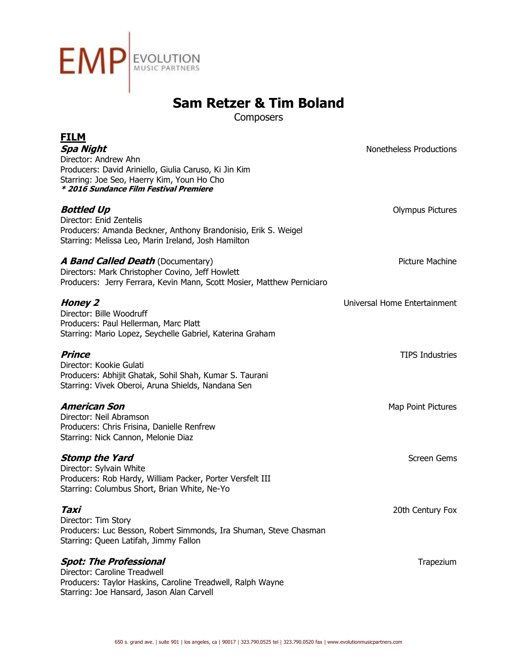

**Composers** 

| <b>FILM</b><br><b>Spa Night</b><br>Director: Andrew Ahn<br>Producers: David Ariniello, Giulia Caruso, Ki Jin Kim<br>Starring: Joe Seo, Haerry Kim, Youn Ho Cho<br>* 2016 Sundance Film Festival Premiere | Nonetheless Productions      |
|----------------------------------------------------------------------------------------------------------------------------------------------------------------------------------------------------------|------------------------------|
| <b>Bottled Up</b><br>Director: Enid Zentelis<br>Producers: Amanda Beckner, Anthony Brandonisio, Erik S. Weigel<br>Starring: Melissa Leo, Marin Ireland, Josh Hamilton                                    | <b>Olympus Pictures</b>      |
| <b>A Band Called Death (Documentary)</b><br>Directors: Mark Christopher Covino, Jeff Howlett<br>Producers: Jerry Ferrara, Kevin Mann, Scott Mosier, Matthew Perniciaro                                   | <b>Picture Machine</b>       |
| <b>Honey 2</b><br>Director: Bille Woodruff<br>Producers: Paul Hellerman, Marc Platt<br>Starring: Mario Lopez, Seychelle Gabriel, Katerina Graham                                                         | Universal Home Entertainment |
| <b>Prince</b><br>Director: Kookie Gulati<br>Producers: Abhijit Ghatak, Sohil Shah, Kumar S. Taurani<br>Starring: Vivek Oberoi, Aruna Shields, Nandana Sen                                                | <b>TIPS Industries</b>       |
| <b>American Son</b><br>Director: Neil Abramson<br>Producers: Chris Frisina, Danielle Renfrew<br>Starring: Nick Cannon, Melonie Diaz                                                                      | Map Point Pictures           |
| <b>Stomp the Yard</b><br>Director: Sylvain White<br>Producers: Rob Hardy, William Packer, Porter Versfelt III<br>Starring: Columbus Short, Brian White, Ne-Yo                                            | Screen Gems                  |
| Taxi<br>Director: Tim Story<br>Producers: Luc Besson, Robert Simmonds, Ira Shuman, Steve Chasman<br>Starring: Queen Latifah, Jimmy Fallon                                                                | 20th Century Fox             |
| <b>Spot: The Professional</b><br>Director: Caroline Treadwell<br>Producers: Taylor Haskins, Caroline Treadwell, Ralph Wayne<br>Starring: Joe Hansard, Jason Alan Carvell                                 | Trapezium                    |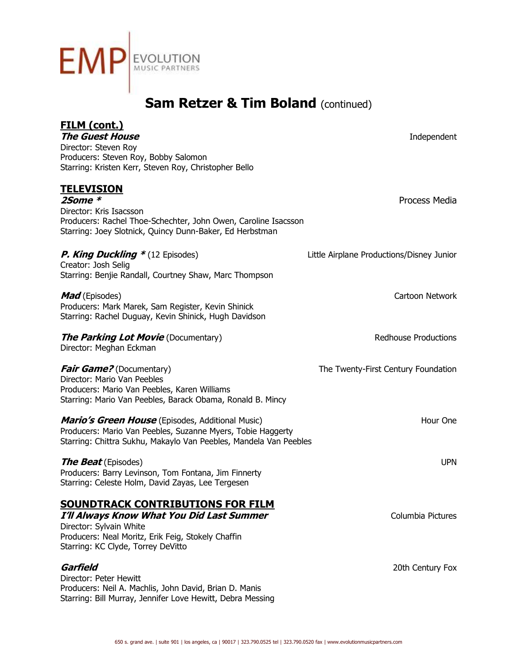

| FILM (cont.)<br><b>The Guest House</b><br>Director: Steven Roy<br>Producers: Steven Roy, Bobby Salomon<br>Starring: Kristen Kerr, Steven Roy, Christopher Bello                                              | Independent                               |
|--------------------------------------------------------------------------------------------------------------------------------------------------------------------------------------------------------------|-------------------------------------------|
| <u>TELEVISION</u><br>$2$ Some $*$<br>Director: Kris Isacsson<br>Producers: Rachel Thoe-Schechter, John Owen, Caroline Isacsson<br>Starring: Joey Slotnick, Quincy Dunn-Baker, Ed Herbstman                   | Process Media                             |
| <b>P. King Duckling *</b> (12 Episodes)<br>Creator: Josh Selig<br>Starring: Benjie Randall, Courtney Shaw, Marc Thompson                                                                                     | Little Airplane Productions/Disney Junior |
| <b>Mad</b> (Episodes)<br>Producers: Mark Marek, Sam Register, Kevin Shinick<br>Starring: Rachel Duguay, Kevin Shinick, Hugh Davidson                                                                         | Cartoon Network                           |
| <b>The Parking Lot Movie</b> (Documentary)<br>Director: Meghan Eckman                                                                                                                                        | <b>Redhouse Productions</b>               |
| <b>Fair Game?</b> (Documentary)<br>Director: Mario Van Peebles<br>Producers: Mario Van Peebles, Karen Williams<br>Starring: Mario Van Peebles, Barack Obama, Ronald B. Mincy                                 | The Twenty-First Century Foundation       |
| <i>Mario's Green House</i> (Episodes, Additional Music)<br>Producers: Mario Van Peebles, Suzanne Myers, Tobie Haggerty<br>Starring: Chittra Sukhu, Makaylo Van Peebles, Mandela Van Peebles                  | Hour One                                  |
| <b>The Beat</b> (Episodes)<br>Producers: Barry Levinson, Tom Fontana, Jim Finnerty<br>Starring: Celeste Holm, David Zayas, Lee Tergesen                                                                      | <b>UPN</b>                                |
| <b>SOUNDTRACK CONTRIBUTIONS FOR FILM</b><br>I'll Always Know What You Did Last Summer<br>Director: Sylvain White<br>Producers: Neal Moritz, Erik Feig, Stokely Chaffin<br>Starring: KC Clyde, Torrey DeVitto | Columbia Pictures                         |
| Garfield<br>Director: Peter Hewitt<br>Producers: Neil A. Machlis, John David, Brian D. Manis<br>Starring: Bill Murray, Jennifer Love Hewitt, Debra Messing                                                   | 20th Century Fox                          |